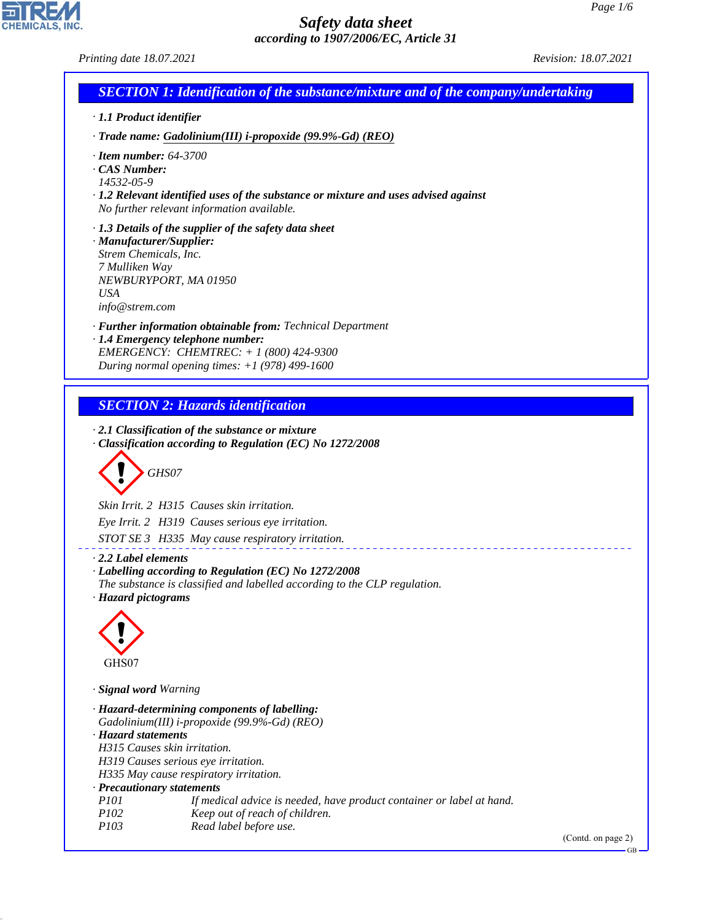CHEMICALS, INC.

44.1.1

| Printing date 18.07.2021                                                                            |                                                                                                                                                                                                 | Revision: 18.07.2021      |
|-----------------------------------------------------------------------------------------------------|-------------------------------------------------------------------------------------------------------------------------------------------------------------------------------------------------|---------------------------|
|                                                                                                     | <b>SECTION 1: Identification of the substance/mixture and of the company/undertaking</b>                                                                                                        |                           |
| · 1.1 Product identifier                                                                            |                                                                                                                                                                                                 |                           |
|                                                                                                     | $\cdot$ Trade name: Gadolinium(III) i-propoxide (99.9%-Gd) (REO)                                                                                                                                |                           |
| $\cdot$ Item number: 64-3700<br>$\cdot$ CAS Number:<br>14532-05-9                                   | $\cdot$ 1.2 Relevant identified uses of the substance or mixture and uses advised against<br>No further relevant information available.                                                         |                           |
| · Manufacturer/Supplier:<br>Strem Chemicals, Inc.<br>7 Mulliken Way<br><b>USA</b><br>info@strem.com | $\cdot$ 1.3 Details of the supplier of the safety data sheet<br>NEWBURYPORT, MA 01950                                                                                                           |                           |
|                                                                                                     | · Further information obtainable from: Technical Department<br>· 1.4 Emergency telephone number:<br>EMERGENCY: CHEMTREC: + 1 (800) 424-9300<br>During normal opening times: $+1$ (978) 499-1600 |                           |
|                                                                                                     | <b>SECTION 2: Hazards identification</b><br>$\cdot$ 2.1 Classification of the substance or mixture<br>Classification according to Regulation (EC) No 1272/2008                                  |                           |
|                                                                                                     | GHS07                                                                                                                                                                                           |                           |
|                                                                                                     | Skin Irrit. 2 H315 Causes skin irritation.                                                                                                                                                      |                           |
|                                                                                                     | Eye Irrit. 2 H319 Causes serious eye irritation.                                                                                                                                                |                           |
|                                                                                                     | STOT SE 3 H335 May cause respiratory irritation.                                                                                                                                                |                           |
| $\cdot$ 2.2 Label elements<br>· Hazard pictograms                                                   | Labelling according to Regulation (EC) No 1272/2008<br>The substance is classified and labelled according to the CLP regulation.                                                                |                           |
|                                                                                                     |                                                                                                                                                                                                 |                           |
| GHS07                                                                                               |                                                                                                                                                                                                 |                           |
| · Signal word Warning                                                                               |                                                                                                                                                                                                 |                           |
| · Hazard statements                                                                                 | · Hazard-determining components of labelling:<br>Gadolinium(III) i-propoxide (99.9%-Gd) (REO)<br>H315 Causes skin irritation.<br>H319 Causes serious eye irritation.                            |                           |
|                                                                                                     | H335 May cause respiratory irritation.                                                                                                                                                          |                           |
| · Precautionary statements<br>P101                                                                  | If medical advice is needed, have product container or label at hand.                                                                                                                           |                           |
| P102                                                                                                | Keep out of reach of children.                                                                                                                                                                  |                           |
| P103                                                                                                | Read label before use.                                                                                                                                                                          | (Contd. on page 2)<br>GB- |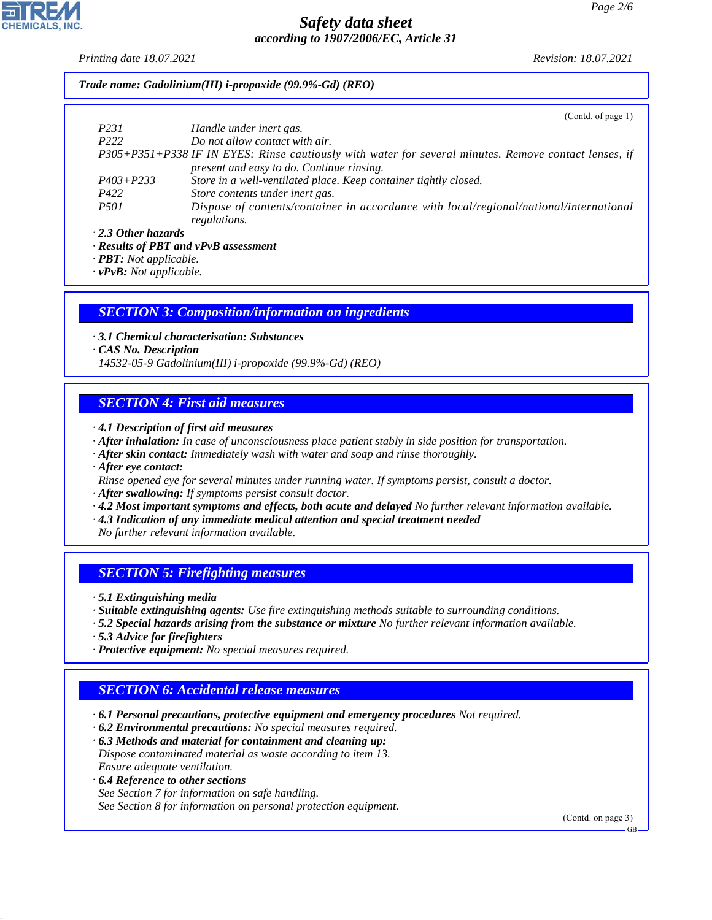*Printing date 18.07.2021 Revision: 18.07.2021*

#### *Trade name: Gadolinium(III) i-propoxide (99.9%-Gd) (REO)*

|                           | (Contd. of page 1)                                                                                    |
|---------------------------|-------------------------------------------------------------------------------------------------------|
| P231                      | Handle under inert gas.                                                                               |
| P <sub>222</sub>          | Do not allow contact with air.                                                                        |
|                           | P305+P351+P338 IF IN EYES: Rinse cautiously with water for several minutes. Remove contact lenses, if |
|                           | present and easy to do. Continue rinsing.                                                             |
| $P403 + P233$             | Store in a well-ventilated place. Keep container tightly closed.                                      |
| P422                      | Store contents under inert gas.                                                                       |
| <i>P501</i>               | Dispose of contents/container in accordance with local/regional/national/international                |
|                           | regulations.                                                                                          |
| $\cdot$ 2.3 Other hazards |                                                                                                       |

*· Results of PBT and vPvB assessment*

*· PBT: Not applicable.*

*· vPvB: Not applicable.*

#### *SECTION 3: Composition/information on ingredients*

*· 3.1 Chemical characterisation: Substances*

*· CAS No. Description*

*14532-05-9 Gadolinium(III) i-propoxide (99.9%-Gd) (REO)*

#### *SECTION 4: First aid measures*

- *· 4.1 Description of first aid measures*
- *· After inhalation: In case of unconsciousness place patient stably in side position for transportation.*
- *· After skin contact: Immediately wash with water and soap and rinse thoroughly.*

*· After eye contact:*

- *Rinse opened eye for several minutes under running water. If symptoms persist, consult a doctor.*
- *· After swallowing: If symptoms persist consult doctor.*
- *· 4.2 Most important symptoms and effects, both acute and delayed No further relevant information available.*
- *· 4.3 Indication of any immediate medical attention and special treatment needed*

*No further relevant information available.*

### *SECTION 5: Firefighting measures*

- *· 5.1 Extinguishing media*
- *· Suitable extinguishing agents: Use fire extinguishing methods suitable to surrounding conditions.*
- *· 5.2 Special hazards arising from the substance or mixture No further relevant information available.*
- *· 5.3 Advice for firefighters*

44.1.1

*· Protective equipment: No special measures required.*

### *SECTION 6: Accidental release measures*

- *· 6.1 Personal precautions, protective equipment and emergency procedures Not required.*
- *· 6.2 Environmental precautions: No special measures required.*
- *· 6.3 Methods and material for containment and cleaning up: Dispose contaminated material as waste according to item 13. Ensure adequate ventilation.*
- *· 6.4 Reference to other sections See Section 7 for information on safe handling. See Section 8 for information on personal protection equipment.*

(Contd. on page 3)

GB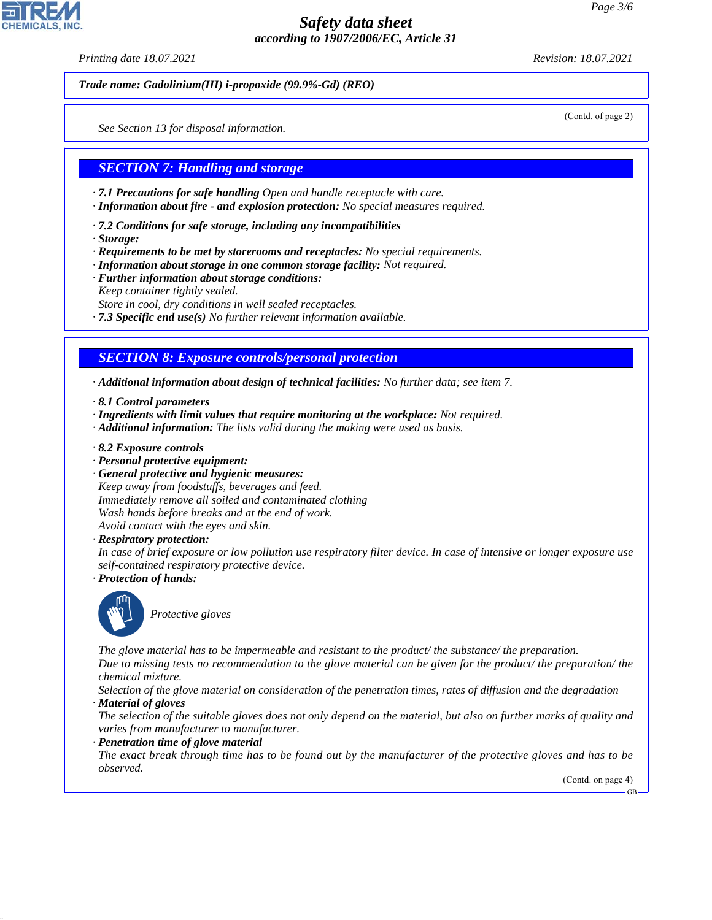*Printing date 18.07.2021 Revision: 18.07.2021*

*Trade name: Gadolinium(III) i-propoxide (99.9%-Gd) (REO)*

(Contd. of page 2)

*See Section 13 for disposal information.*

#### *SECTION 7: Handling and storage*

- *· 7.1 Precautions for safe handling Open and handle receptacle with care.*
- *· Information about fire and explosion protection: No special measures required.*
- *· 7.2 Conditions for safe storage, including any incompatibilities*
- *· Storage:*
- *· Requirements to be met by storerooms and receptacles: No special requirements.*
- *· Information about storage in one common storage facility: Not required.*
- *· Further information about storage conditions: Keep container tightly sealed. Store in cool, dry conditions in well sealed receptacles.*
- *· 7.3 Specific end use(s) No further relevant information available.*

## *SECTION 8: Exposure controls/personal protection*

- *· Additional information about design of technical facilities: No further data; see item 7.*
- *· 8.1 Control parameters*
- *· Ingredients with limit values that require monitoring at the workplace: Not required.*
- *· Additional information: The lists valid during the making were used as basis.*
- *· 8.2 Exposure controls*
- *· Personal protective equipment:*
- *· General protective and hygienic measures:*

*Keep away from foodstuffs, beverages and feed. Immediately remove all soiled and contaminated clothing Wash hands before breaks and at the end of work. Avoid contact with the eyes and skin.*

*· Respiratory protection:*

*In case of brief exposure or low pollution use respiratory filter device. In case of intensive or longer exposure use self-contained respiratory protective device.*

*· Protection of hands:*



44.1.1

\_S*Protective gloves*

*The glove material has to be impermeable and resistant to the product/ the substance/ the preparation. Due to missing tests no recommendation to the glove material can be given for the product/ the preparation/ the chemical mixture.*

*Selection of the glove material on consideration of the penetration times, rates of diffusion and the degradation · Material of gloves*

*The selection of the suitable gloves does not only depend on the material, but also on further marks of quality and varies from manufacturer to manufacturer.*

*· Penetration time of glove material*

*The exact break through time has to be found out by the manufacturer of the protective gloves and has to be observed.*

(Contd. on page 4)

GB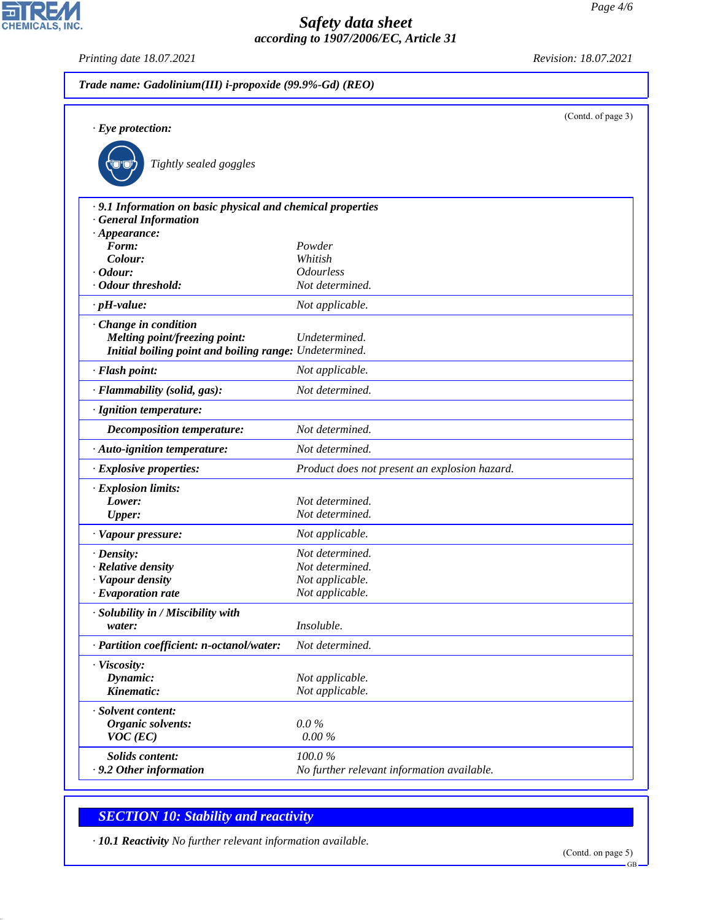*Printing date 18.07.2021 Revision: 18.07.2021*

CHEMICALS, INC.

| Trade name: Gadolinium(III) i-propoxide (99.9%-Gd) (REO)                                  |                                               |                    |  |
|-------------------------------------------------------------------------------------------|-----------------------------------------------|--------------------|--|
| $\cdot$ Eye protection:                                                                   |                                               | (Contd. of page 3) |  |
| Tightly sealed goggles                                                                    |                                               |                    |  |
| · 9.1 Information on basic physical and chemical properties<br><b>General Information</b> |                                               |                    |  |
| $\cdot$ Appearance:                                                                       |                                               |                    |  |
| Form:                                                                                     | Powder                                        |                    |  |
| Colour:                                                                                   | Whitish                                       |                    |  |
| $\cdot$ Odour:                                                                            | <b>Odourless</b>                              |                    |  |
| · Odour threshold:                                                                        | Not determined.                               |                    |  |
| $\cdot$ pH-value:                                                                         | Not applicable.                               |                    |  |
| · Change in condition                                                                     |                                               |                    |  |
| Melting point/freezing point:                                                             | Undetermined.                                 |                    |  |
| Initial boiling point and boiling range: Undetermined.                                    |                                               |                    |  |
| · Flash point:                                                                            | Not applicable.                               |                    |  |
| · Flammability (solid, gas):                                                              | Not determined.                               |                    |  |
| · Ignition temperature:                                                                   |                                               |                    |  |
| <b>Decomposition temperature:</b>                                                         | Not determined.                               |                    |  |
| · Auto-ignition temperature:                                                              | Not determined.                               |                    |  |
| · Explosive properties:                                                                   | Product does not present an explosion hazard. |                    |  |
| · Explosion limits:                                                                       |                                               |                    |  |
| Lower:                                                                                    | Not determined.                               |                    |  |
| <b>Upper:</b>                                                                             | Not determined.                               |                    |  |
| · Vapour pressure:                                                                        | Not applicable.                               |                    |  |
| $\cdot$ Density:                                                                          | Not determined.                               |                    |  |
| · Relative density                                                                        | Not determined.                               |                    |  |
| · Vapour density                                                                          | Not applicable.                               |                    |  |
| $\cdot$ Evaporation rate                                                                  | Not applicable.                               |                    |  |
| · Solubility in / Miscibility with                                                        |                                               |                    |  |
| water:                                                                                    | Insoluble.                                    |                    |  |
| · Partition coefficient: n-octanol/water:                                                 | Not determined.                               |                    |  |
| · Viscosity:                                                                              |                                               |                    |  |
| Dynamic:                                                                                  | Not applicable.                               |                    |  |
| Kinematic:                                                                                | Not applicable.                               |                    |  |
| · Solvent content:                                                                        |                                               |                    |  |
| Organic solvents:                                                                         | $0.0\%$                                       |                    |  |
| $VOC$ (EC)                                                                                | $0.00\%$                                      |                    |  |
| Solids content:                                                                           | 100.0%                                        |                    |  |
| · 9.2 Other information                                                                   | No further relevant information available.    |                    |  |

# *SECTION 10: Stability and reactivity*

44.1.1

*· 10.1 Reactivity No further relevant information available.*

GB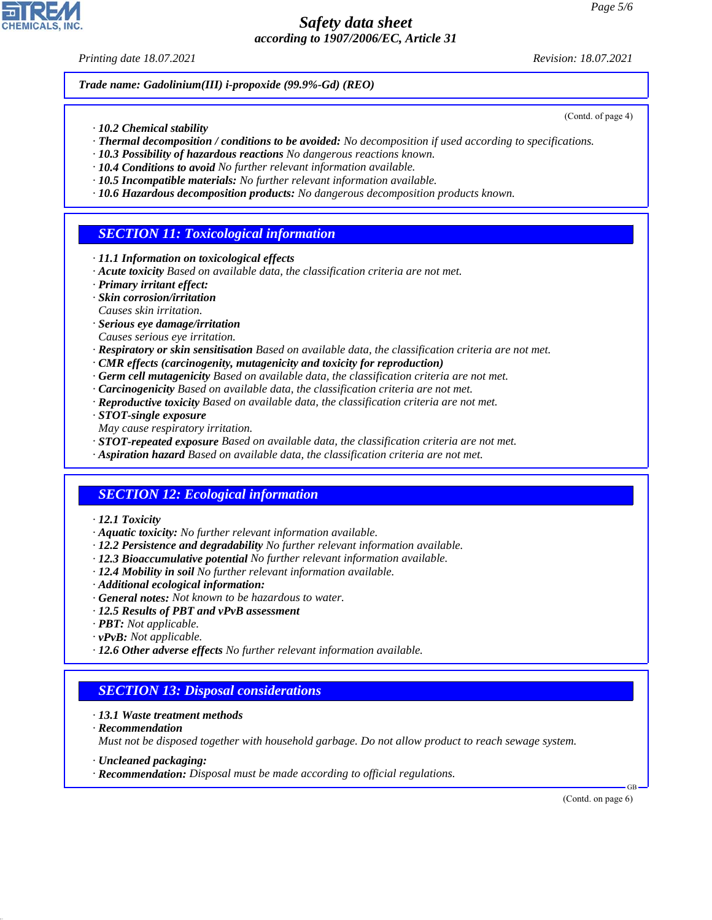*Printing date 18.07.2021 Revision: 18.07.2021*

(Contd. of page 4)

*Trade name: Gadolinium(III) i-propoxide (99.9%-Gd) (REO)*

- *· 10.2 Chemical stability*
- *· Thermal decomposition / conditions to be avoided: No decomposition if used according to specifications.*
- *· 10.3 Possibility of hazardous reactions No dangerous reactions known.*
- *· 10.4 Conditions to avoid No further relevant information available.*
- *· 10.5 Incompatible materials: No further relevant information available.*
- *· 10.6 Hazardous decomposition products: No dangerous decomposition products known.*

## *SECTION 11: Toxicological information*

- *· 11.1 Information on toxicological effects*
- *· Acute toxicity Based on available data, the classification criteria are not met.*
- *· Primary irritant effect:*
- *· Skin corrosion/irritation*
- *Causes skin irritation.*
- *· Serious eye damage/irritation*
- *Causes serious eye irritation.*
- *· Respiratory or skin sensitisation Based on available data, the classification criteria are not met.*
- *· CMR effects (carcinogenity, mutagenicity and toxicity for reproduction)*
- *· Germ cell mutagenicity Based on available data, the classification criteria are not met.*
- *· Carcinogenicity Based on available data, the classification criteria are not met.*
- *· Reproductive toxicity Based on available data, the classification criteria are not met.*
- *· STOT-single exposure*
- *May cause respiratory irritation.*
- *· STOT-repeated exposure Based on available data, the classification criteria are not met.*
- *· Aspiration hazard Based on available data, the classification criteria are not met.*

### *SECTION 12: Ecological information*

- *· 12.1 Toxicity*
- *· Aquatic toxicity: No further relevant information available.*
- *· 12.2 Persistence and degradability No further relevant information available.*
- *· 12.3 Bioaccumulative potential No further relevant information available.*
- *· 12.4 Mobility in soil No further relevant information available.*
- *· Additional ecological information:*
- *· General notes: Not known to be hazardous to water.*
- *· 12.5 Results of PBT and vPvB assessment*
- *· PBT: Not applicable.*
- *· vPvB: Not applicable.*
- *· 12.6 Other adverse effects No further relevant information available.*

### *SECTION 13: Disposal considerations*

- *· 13.1 Waste treatment methods*
- *· Recommendation*

44.1.1

*Must not be disposed together with household garbage. Do not allow product to reach sewage system.*

- *· Uncleaned packaging:*
- *· Recommendation: Disposal must be made according to official regulations.*

(Contd. on page 6)

GB